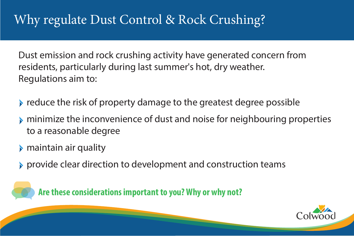# Why regulate Dust Control & Rock Crushing?

Dust emission and rock crushing activity have generated concern from residents, particularly during last summer's hot, dry weather. Regulations aim to:

 $\triangleright$  reduce the risk of property damage to the greatest degree possible minimize the inconvenience of dust and noise for neighbouring properties

provide clear direction to development and construction teams





- 
- to a reasonable degree
- maintain air quality
- 

**Are these considerations important to you? Why or why not?**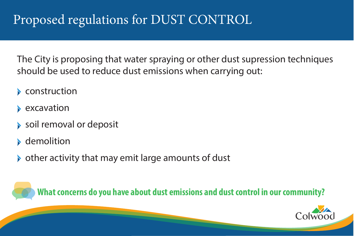# Proposed regulations for DUST CONTROL

## The City is proposing that water spraying or other dust supression techniques should be used to reduce dust emissions when carrying out:

- construction
- excavation
- soil removal or deposit
- demolition
- 

## $\triangleright$  other activity that may emit large amounts of dust

### **What concerns do you have about dust emissions and dust control in our community?**



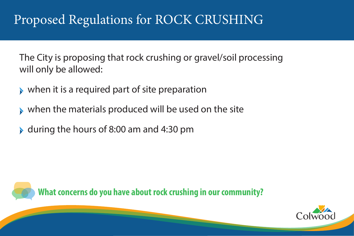# Proposed Regulations for ROCK CRUSHING

### **What concerns do you have about rock crushing in our community?**







- The City is proposing that rock crushing or gravel/soil processing will only be allowed:
- when it is a required part of site preparation
- when the materials produced will be used on the site  $\blacktriangleright$
- during the hours of 8:00 am and 4:30 pm